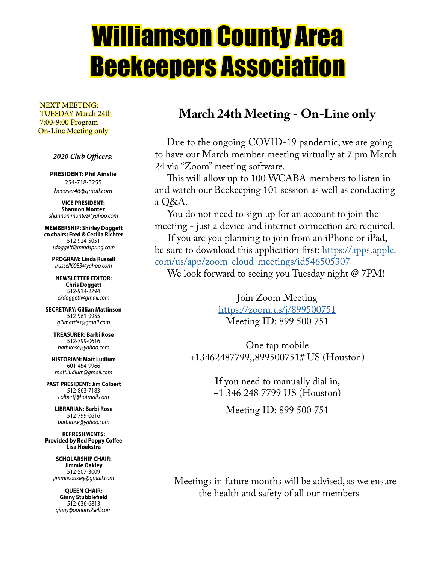# Williamson County Area Beekeepers Association

 NEXT MEETING: TUESDAY March 24th 7:00-9:00 Program On-Line Meeting only

 *2020 Club Officers:*

**PRESIDENT: Phil Ainslie** 254-718-3255 *beeuser46@gmail.com*

**VICE PRESIDENT: Shannon Montez** *shannon.montez@yahoo.com*

**MEMBERSHIP: Shirley Doggett co chairs: Fred & Cecilia Richter** 512-924-5051 *sdoggett@mindspring.com*

**PROGRAM: Linda Russell** *lrussell6083@yahoo.com*

**NEWSLETTER EDITOR: Chris Doggett** 512-914-2794 *ckdoggett@gmail.com*

**SECRETARY: Gillian Mattinson** 512-961-9955 *gillmatties@gmail.com*

**TREASURER: Barbi Rose** 512-799-0616 *barbirose@yahoo.com*

**HISTORIAN: Matt Ludlum** 601-454-9966 *matt.ludlum@gmail.com*

**PAST PRESIDENT: Jim Colbert** 512-863-7183 *colbertj@hotmail.com*

> **LIBRARIAN: Barbi Rose** 512-799-0616 *barbirose@yahoo.com*

**REFRESHMENTS: Provided by Red Poppy Coffee Lisa Hoekstra**

> **SCHOLARSHIP CHAIR: Jimmie Oakley** 512-507-3009 *jimmie.oakley@gmail.com*

**QUEEN CHAIR: Ginny Stubblefield** 512-636-6813 *ginny@options2sell.com*

### **March 24th Meeting - On-Line only**

 Due to the ongoing COVID-19 pandemic, we are going to have our March member meeting virtually at 7 pm March 24 via "Zoom" meeting software.

 This will allow up to 100 WCABA members to listen in and watch our Beekeeping 101 session as well as conducting a Q&A.

 You do not need to sign up for an account to join the meeting - just a device and internet connection are required.

 If you are you planning to join from an iPhone or iPad, be sure to download this application first: https://apps.apple. com/us/app/zoom-cloud-meetings/id546505307

We look forward to seeing you Tuesday night @ 7PM!

Join Zoom Meeting https://zoom.us/j/899500751 Meeting ID: 899 500 751

One tap mobile +13462487799,,899500751# US (Houston)

> If you need to manually dial in, +1 346 248 7799 US (Houston)

Meeting ID: 899 500 751

 Meetings in future months will be advised, as we ensure the health and safety of all our members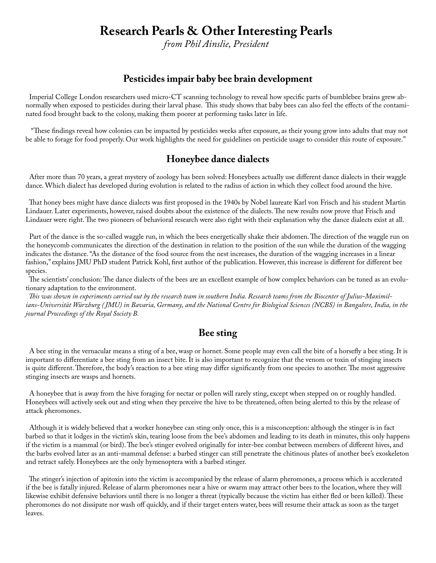### **Research Pearls & Other Interesting Pearls**

*from Phil Ainslie, President*

### **Pesticides impair baby bee brain development**

 Imperial College London researchers used micro-CT scanning technology to reveal how specific parts of bumblebee brains grew abnormally when exposed to pesticides during their larval phase. This study shows that baby bees can also feel the effects of the contaminated food brought back to the colony, making them poorer at performing tasks later in life.

 "These findings reveal how colonies can be impacted by pesticides weeks after exposure, as their young grow into adults that may not be able to forage for food properly. Our work highlights the need for guidelines on pesticide usage to consider this route of exposure."

### **Honeybee dance dialects**

 After more than 70 years, a great mystery of zoology has been solved: Honeybees actually use different dance dialects in their waggle dance. Which dialect has developed during evolution is related to the radius of action in which they collect food around the hive.

 That honey bees might have dance dialects was first proposed in the 1940s by Nobel laureate Karl von Frisch and his student Martin Lindauer. Later experiments, however, raised doubts about the existence of the dialects. The new results now prove that Frisch and Lindauer were right. The two pioneers of behavioral research were also right with their explanation why the dance dialects exist at all.

 Part of the dance is the so-called waggle run, in which the bees energetically shake their abdomen. The direction of the waggle run on the honeycomb communicates the direction of the destination in relation to the position of the sun while the duration of the wagging indicates the distance. "As the distance of the food source from the nest increases, the duration of the wagging increases in a linear fashion," explains JMU PhD student Patrick Kohl, first author of the publication. However, this increase is different for different bee species.

 The scientists' conclusion: The dance dialects of the bees are an excellent example of how complex behaviors can be tuned as an evolutionary adaptation to the environment.

 *This was shown in experiments carried out by the research team in southern India. Research teams from the Biocenter of Julius-Maximilians-Universität Würzburg ( JMU) in Bavaria, Germany, and the National Centre for Biological Sciences (NCBS) in Bangalore, India, in the journal Proceedings of the Royal Society B.*

### **Bee sting**

 A bee sting in the vernacular means a sting of a bee, wasp or hornet. Some people may even call the bite of a horsefly a bee sting. It is important to differentiate a bee sting from an insect bite. It is also important to recognize that the venom or toxin of stinging insects is quite different. Therefore, the body's reaction to a bee sting may differ significantly from one species to another. The most aggressive stinging insects are wasps and hornets.

 A honeybee that is away from the hive foraging for nectar or pollen will rarely sting, except when stepped on or roughly handled. Honeybees will actively seek out and sting when they perceive the hive to be threatened, often being alerted to this by the release of attack pheromones.

 Although it is widely believed that a worker honeybee can sting only once, this is a misconception: although the stinger is in fact barbed so that it lodges in the victim's skin, tearing loose from the bee's abdomen and leading to its death in minutes, this only happens if the victim is a mammal (or bird). The bee's stinger evolved originally for inter-bee combat between members of different hives, and the barbs evolved later as an anti-mammal defense: a barbed stinger can still penetrate the chitinous plates of another bee's exoskeleton and retract safely. Honeybees are the only hymenoptera with a barbed stinger.

 The stinger's injection of apitoxin into the victim is accompanied by the release of alarm pheromones, a process which is accelerated if the bee is fatally injured. Release of alarm pheromones near a hive or swarm may attract other bees to the location, where they will likewise exhibit defensive behaviors until there is no longer a threat (typically because the victim has either fled or been killed). These pheromones do not dissipate nor wash off quickly, and if their target enters water, bees will resume their attack as soon as the target leaves.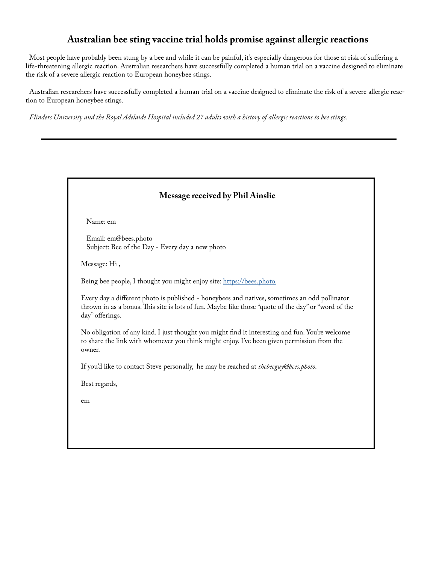### **Australian bee sting vaccine trial holds promise against allergic reactions**

 Most people have probably been stung by a bee and while it can be painful, it's especially dangerous for those at risk of suffering a life-threatening allergic reaction. Australian researchers have successfully completed a human trial on a vaccine designed to eliminate the risk of a severe allergic reaction to European honeybee stings.

 Australian researchers have successfully completed a human trial on a vaccine designed to eliminate the risk of a severe allergic reaction to European honeybee stings.

*Flinders University and the Royal Adelaide Hospital included 27 adults with a history of allergic reactions to bee stings.*

| <b>Message received by Phil Ainslie</b>                                                                                                                                                                                 |  |  |  |
|-------------------------------------------------------------------------------------------------------------------------------------------------------------------------------------------------------------------------|--|--|--|
| Name: em                                                                                                                                                                                                                |  |  |  |
| Email: em@bees.photo<br>Subject: Bee of the Day - Every day a new photo                                                                                                                                                 |  |  |  |
| Message: Hi,                                                                                                                                                                                                            |  |  |  |
| Being bee people, I thought you might enjoy site: https://bees.photo.                                                                                                                                                   |  |  |  |
| Every day a different photo is published - honeybees and natives, sometimes an odd pollinator<br>thrown in as a bonus. This site is lots of fun. Maybe like those "quote of the day" or "word of the<br>day" offerings. |  |  |  |
| No obligation of any kind. I just thought you might find it interesting and fun. You're welcome<br>to share the link with whomever you think might enjoy. I've been given permission from the<br>owner.                 |  |  |  |
| If you'd like to contact Steve personally, he may be reached at thebeeguy@bees.photo.                                                                                                                                   |  |  |  |
| Best regards,                                                                                                                                                                                                           |  |  |  |
| em                                                                                                                                                                                                                      |  |  |  |
|                                                                                                                                                                                                                         |  |  |  |
|                                                                                                                                                                                                                         |  |  |  |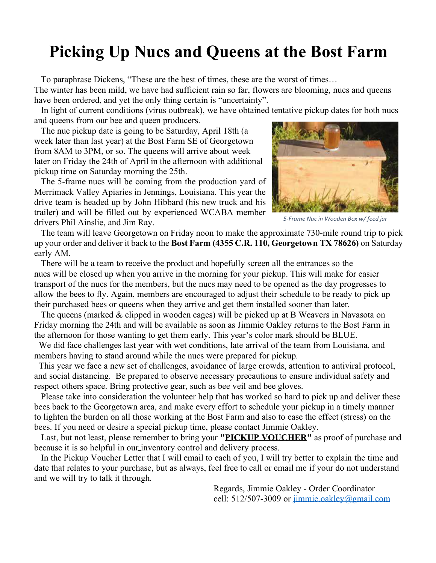# **Picking Up Nucs and Queens at the Bost Farm**

 To paraphrase Dickens, "These are the best of times, these are the worst of times… The winter has been mild, we have had sufficient rain so far, flowers are blooming, nucs and queens have been ordered, and yet the only thing certain is "uncertainty".

 In light of current conditions (virus outbreak), we have obtained tentative pickup dates for both nucs and queens from our bee and queen producers.

 The nuc pickup date is going to be Saturday, April 18th (a week later than last year) at the Bost Farm SE of Georgetown from 8AM to 3PM, or so. The queens will arrive about week later on Friday the 24th of April in the afternoon with additional pickup time on Saturday morning the 25th.

 The 5-frame nucs will be coming from the production yard of Merrimack Valley Apiaries in Jennings, Louisiana. This year the drive team is headed up by John Hibbard (his new truck and his trailer) and will be filled out by experienced WCABA member drivers Phil Ainslie, and Jim Ray.



*5-Frame Nuc in Wooden Box w/ feed jar*

 The team will leave Georgetown on Friday noon to make the approximate 730-mile round trip to pick up your order and deliver it back to the **Bost Farm (4355 C.R. 110, Georgetown TX 78626)** on Saturday early AM.

 There will be a team to receive the product and hopefully screen all the entrances so the nucs will be closed up when you arrive in the morning for your pickup. This will make for easier transport of the nucs for the members, but the nucs may need to be opened as the day progresses to allow the bees to fly. Again, members are encouraged to adjust their schedule to be ready to pick up their purchased bees or queens when they arrive and get them installed sooner than later.

 The queens (marked & clipped in wooden cages) will be picked up at B Weavers in Navasota on Friday morning the 24th and will be available as soon as Jimmie Oakley returns to the Bost Farm in the afternoon for those wanting to get them early. This year's color mark should be BLUE.

 We did face challenges last year with wet conditions, late arrival of the team from Louisiana, and members having to stand around while the nucs were prepared for pickup.

 This year we face a new set of challenges, avoidance of large crowds, attention to antiviral protocol, and social distancing. Be prepared to observe necessary precautions to ensure individual safety and respect others space. Bring protective gear, such as bee veil and bee gloves.

 Please take into consideration the volunteer help that has worked so hard to pick up and deliver these bees back to the Georgetown area, and make every effort to schedule your pickup in a timely manner to lighten the burden on all those working at the Bost Farm and also to ease the effect (stress) on the bees. If you need or desire a special pickup time, please contact Jimmie Oakley.

 Last, but not least, please remember to bring your **"PICKUP VOUCHER"** as proof of purchase and because it is so helpful in our inventory control and delivery process.

 In the Pickup Voucher Letter that I will email to each of you, I will try better to explain the time and date that relates to your purchase, but as always, feel free to call or email me if your do not understand and we will try to talk it through.

> Regards, Jimmie Oakley - Order Coordinator cell: 512/507-3009 or jimmie.oakley@gmail.com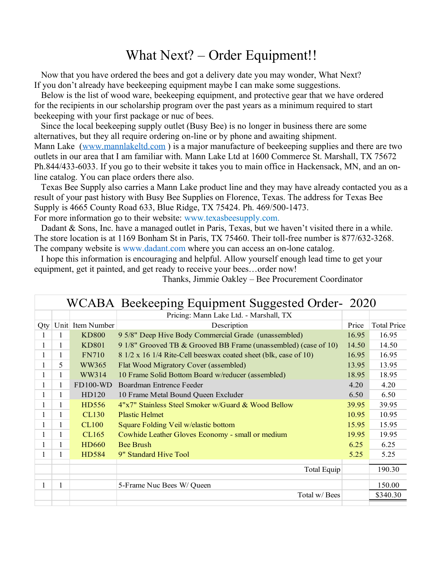### What Next? – Order Equipment!!

 Now that you have ordered the bees and got a delivery date you may wonder, What Next? If you don't already have beekeeping equipment maybe I can make some suggestions.

 Below is the list of wood ware, beekeeping equipment, and protective gear that we have ordered for the recipients in our scholarship program over the past years as a minimum required to start beekeeping with your first package or nuc of bees.

 Since the local beekeeping supply outlet (Busy Bee) is no longer in business there are some alternatives, but they all require ordering on-line or by phone and awaiting shipment. Mann Lake (www.mannlakeltd.com) is a major manufacture of beekeeping supplies and there are two outlets in our area that I am familiar with. Mann Lake Ltd at 1600 Commerce St. Marshall, TX 75672 Ph.844/433-6033. If you go to their website it takes you to main office in Hackensack, MN, and an online catalog. You can place orders there also.

 Texas Bee Supply also carries a Mann Lake product line and they may have already contacted you as a result of your past history with Busy Bee Supplies on Florence, Texas. The address for Texas Bee Supply is 4665 County Road 633, Blue Ridge, TX 75424. Ph. 469/500-1473. For more information go to their website: www.texasbeesupply.com.

Dadant & Sons, Inc. have a managed outlet in Paris, Texas, but we haven't visited there in a while. The store location is at 1169 Bonham St in Paris, TX 75460. Their toll-free number is 877/632-3268. The company website is www.dadant.com where you can access an on-lone catalog.

 I hope this information is encouraging and helpful. Allow yourself enough lead time to get your equipment, get it painted, and get ready to receive your bees…order now!

| Pricing: Mann Lake Ltd. - Marshall, TX<br>Unit Item Number<br><b>Total Price</b><br>Description<br>Price<br>Qty<br>9 5/8" Deep Hive Body Commercial Grade (unassembled)<br>16.95<br><b>KD800</b><br>16.95<br>1<br><b>KD801</b><br>9 1/8" Grooved TB & Grooved BB Frame (unassembled) (case of 10)<br>14.50<br>14.50<br>1<br>16.95<br><b>FN710</b><br>8 1/2 x 16 1/4 Rite-Cell beeswax coated sheet (blk, case of 10)<br>16.95<br>WW365<br>13.95<br>13.95<br>5<br>Flat Wood Migratory Cover (assembled) |  |
|--------------------------------------------------------------------------------------------------------------------------------------------------------------------------------------------------------------------------------------------------------------------------------------------------------------------------------------------------------------------------------------------------------------------------------------------------------------------------------------------------------|--|
|                                                                                                                                                                                                                                                                                                                                                                                                                                                                                                        |  |
|                                                                                                                                                                                                                                                                                                                                                                                                                                                                                                        |  |
|                                                                                                                                                                                                                                                                                                                                                                                                                                                                                                        |  |
|                                                                                                                                                                                                                                                                                                                                                                                                                                                                                                        |  |
|                                                                                                                                                                                                                                                                                                                                                                                                                                                                                                        |  |
|                                                                                                                                                                                                                                                                                                                                                                                                                                                                                                        |  |
| WW314<br>18.95<br>10 Frame Solid Bottom Board w/reducer (assembled)<br>18.95<br>1                                                                                                                                                                                                                                                                                                                                                                                                                      |  |
| $FD100-WD$<br>4.20<br>4.20<br>Boardman Entrence Feeder<br>1                                                                                                                                                                                                                                                                                                                                                                                                                                            |  |
| HD120<br>6.50<br>6.50<br>10 Frame Metal Bound Queen Excluder<br>L                                                                                                                                                                                                                                                                                                                                                                                                                                      |  |
| HD556<br>$4"x7"$ Stainless Steel Smoker w/Guard & Wood Bellow<br>39.95<br>39.95<br>1                                                                                                                                                                                                                                                                                                                                                                                                                   |  |
| 10.95<br>10.95<br>CL <sub>130</sub><br><b>Plastic Helmet</b><br>1                                                                                                                                                                                                                                                                                                                                                                                                                                      |  |
| 15.95<br>15.95<br><b>CL100</b><br>1<br>Square Folding Veil w/elastic bottom                                                                                                                                                                                                                                                                                                                                                                                                                            |  |
| 19.95<br>19.95<br>CL165<br>Cowhide Leather Gloves Economy - small or medium<br>1                                                                                                                                                                                                                                                                                                                                                                                                                       |  |
| 6.25<br>6.25<br><b>HD660</b><br><b>Bee Brush</b><br>1                                                                                                                                                                                                                                                                                                                                                                                                                                                  |  |
| HD584<br>5.25<br>5.25<br>9" Standard Hive Tool                                                                                                                                                                                                                                                                                                                                                                                                                                                         |  |
| Total Equip<br>190.30                                                                                                                                                                                                                                                                                                                                                                                                                                                                                  |  |
|                                                                                                                                                                                                                                                                                                                                                                                                                                                                                                        |  |
| 150.00<br>1<br>5-Frame Nuc Bees W/Queen                                                                                                                                                                                                                                                                                                                                                                                                                                                                |  |
| Total w/ Bees<br>\$340.30                                                                                                                                                                                                                                                                                                                                                                                                                                                                              |  |

Thanks, Jimmie Oakley – Bee Procurement Coordinator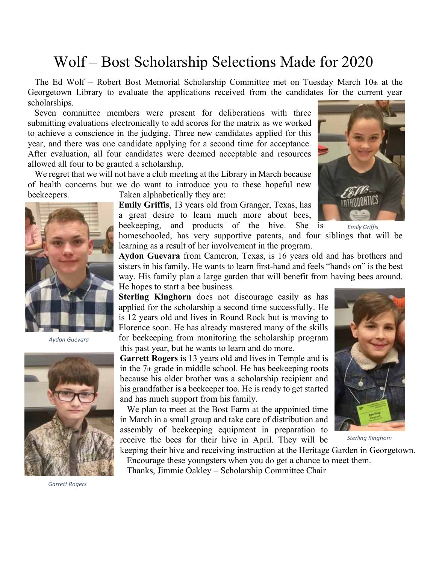# Wolf – Bost Scholarship Selections Made for 2020

 The Ed Wolf – Robert Bost Memorial Scholarship Committee met on Tuesday March 10th at the Georgetown Library to evaluate the applications received from the candidates for the current year scholarships.

 Seven committee members were present for deliberations with three submitting evaluations electronically to add scores for the matrix as we worked to achieve a conscience in the judging. Three new candidates applied for this year, and there was one candidate applying for a second time for acceptance. After evaluation, all four candidates were deemed acceptable and resources allowed all four to be granted a scholarship.

 We regret that we will not have a club meeting at the Library in March because of health concerns but we do want to introduce you to these hopeful new beekeepers. Taken alphabetically they are:

> **Emily Griffis**, 13 years old from Granger, Texas, has a great desire to learn much more about bees,

beekeeping, and products of the hive. She is homeschooled, has very supportive patents, and four siblings that will be learning as a result of her involvement in the program. *Emily Griffis*

**Aydon Guevara** from Cameron, Texas, is 16 years old and has brothers and sisters in his family. He wants to learn first-hand and feels "hands on" is the best way. His family plan a large garden that will benefit from having bees around. He hopes to start a bee business.

**Sterling Kinghorn** does not discourage easily as has applied for the scholarship a second time successfully. He is 12 years old and lives in Round Rock but is moving to Florence soon. He has already mastered many of the skills for beekeeping from monitoring the scholarship program this past year, but he wants to learn and do more.

**Garrett Rogers** is 13 years old and lives in Temple and is in the 7th grade in middle school. He has beekeeping roots because his older brother was a scholarship recipient and his grandfather is a beekeeper too. He is ready to get started and has much support from his family.

 We plan to meet at the Bost Farm at the appointed time in March in a small group and take care of distribution and assembly of beekeeping equipment in preparation to receive the bees for their hive in April. They will be



*Sterling Kinghorn*

keeping their hive and receiving instruction at the Heritage Garden in Georgetown. Encourage these youngsters when you do get a chance to meet them.

Thanks, Jimmie Oakley – Scholarship Committee Chair



*Aydon Guevara*



*Garrett Rogers*

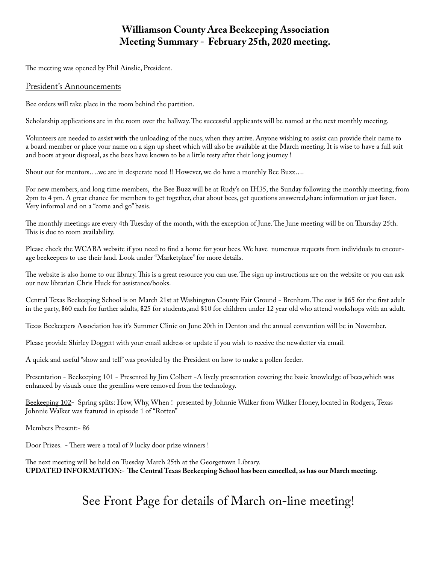### **Williamson County Area Beekeeping Association Meeting Summary - February 25th, 2020 meeting.**

The meeting was opened by Phil Ainslie, President.

### President's Announcements

Bee orders will take place in the room behind the partition.

Scholarship applications are in the room over the hallway. The successful applicants will be named at the next monthly meeting.

Volunteers are needed to assist with the unloading of the nucs, when they arrive. Anyone wishing to assist can provide their name to a board member or place your name on a sign up sheet which will also be available at the March meeting. It is wise to have a full suit and boots at your disposal, as the bees have known to be a little testy after their long journey !

Shout out for mentors….we are in desperate need !! However, we do have a monthly Bee Buzz….

For new members, and long time members, the Bee Buzz will be at Rudy's on IH35, the Sunday following the monthly meeting, from 2pm to 4 pm. A great chance for members to get together, chat about bees, get questions answered,share information or just listen. Very informal and on a "come and go" basis.

The monthly meetings are every 4th Tuesday of the month, with the exception of June. The June meeting will be on Thursday 25th. This is due to room availability.

Please check the WCABA website if you need to find a home for your bees. We have numerous requests from individuals to encourage beekeepers to use their land. Look under "Marketplace" for more details.

The website is also home to our library. This is a great resource you can use. The sign up instructions are on the website or you can ask our new librarian Chris Huck for assistance/books.

Central Texas Beekeeping School is on March 21st at Washington County Fair Ground - Brenham. The cost is \$65 for the first adult in the party, \$60 each for further adults, \$25 for students,and \$10 for children under 12 year old who attend workshops with an adult.

Texas Beekeepers Association has it's Summer Clinic on June 20th in Denton and the annual convention will be in November.

Please provide Shirley Doggett with your email address or update if you wish to receive the newsletter via email.

A quick and useful "show and tell" was provided by the President on how to make a pollen feeder.

Presentation - Beekeeping 101 - Presented by Jim Colbert -A lively presentation covering the basic knowledge of bees,which was enhanced by visuals once the gremlins were removed from the technology.

Beekeeping 102- Spring splits: How, Why, When ! presented by Johnnie Walker from Walker Honey, located in Rodgers, Texas Johnnie Walker was featured in episode 1 of "Rotten"

Members Present:- 86

Door Prizes. - There were a total of 9 lucky door prize winners !

The next meeting will be held on Tuesday March 25th at the Georgetown Library. **UPDATED INFORMATION:- The Central Texas Beekeeping School has been cancelled, as has our March meeting.**

See Front Page for details of March on-line meeting!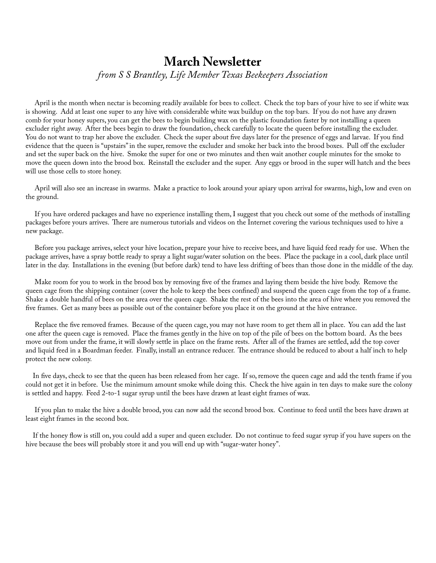### **March Newsletter** *from S S Brantley, Life Member Texas Beekeepers Association*

 April is the month when nectar is becoming readily available for bees to collect. Check the top bars of your hive to see if white wax is showing. Add at least one super to any hive with considerable white wax buildup on the top bars. If you do not have any drawn comb for your honey supers, you can get the bees to begin building wax on the plastic foundation faster by not installing a queen excluder right away. After the bees begin to draw the foundation, check carefully to locate the queen before installing the excluder. You do not want to trap her above the excluder. Check the super about five days later for the presence of eggs and larvae. If you find evidence that the queen is "upstairs" in the super, remove the excluder and smoke her back into the brood boxes. Pull off the excluder and set the super back on the hive. Smoke the super for one or two minutes and then wait another couple minutes for the smoke to move the queen down into the brood box. Reinstall the excluder and the super. Any eggs or brood in the super will hatch and the bees will use those cells to store honey.

 April will also see an increase in swarms. Make a practice to look around your apiary upon arrival for swarms, high, low and even on the ground.

 If you have ordered packages and have no experience installing them, I suggest that you check out some of the methods of installing packages before yours arrives. There are numerous tutorials and videos on the Internet covering the various techniques used to hive a new package.

 Before you package arrives, select your hive location, prepare your hive to receive bees, and have liquid feed ready for use. When the package arrives, have a spray bottle ready to spray a light sugar/water solution on the bees. Place the package in a cool, dark place until later in the day. Installations in the evening (but before dark) tend to have less drifting of bees than those done in the middle of the day.

 Make room for you to work in the brood box by removing five of the frames and laying them beside the hive body. Remove the queen cage from the shipping container (cover the hole to keep the bees confined) and suspend the queen cage from the top of a frame. Shake a double handful of bees on the area over the queen cage. Shake the rest of the bees into the area of hive where you removed the five frames. Get as many bees as possible out of the container before you place it on the ground at the hive entrance.

 Replace the five removed frames. Because of the queen cage, you may not have room to get them all in place. You can add the last one after the queen cage is removed. Place the frames gently in the hive on top of the pile of bees on the bottom board. As the bees move out from under the frame, it will slowly settle in place on the frame rests. After all of the frames are settled, add the top cover and liquid feed in a Boardman feeder. Finally, install an entrance reducer. The entrance should be reduced to about a half inch to help protect the new colony.

 In five days, check to see that the queen has been released from her cage. If so, remove the queen cage and add the tenth frame if you could not get it in before. Use the minimum amount smoke while doing this. Check the hive again in ten days to make sure the colony is settled and happy. Feed 2-to-1 sugar syrup until the bees have drawn at least eight frames of wax.

 If you plan to make the hive a double brood, you can now add the second brood box. Continue to feed until the bees have drawn at least eight frames in the second box.

 If the honey flow is still on, you could add a super and queen excluder. Do not continue to feed sugar syrup if you have supers on the hive because the bees will probably store it and you will end up with "sugar-water honey".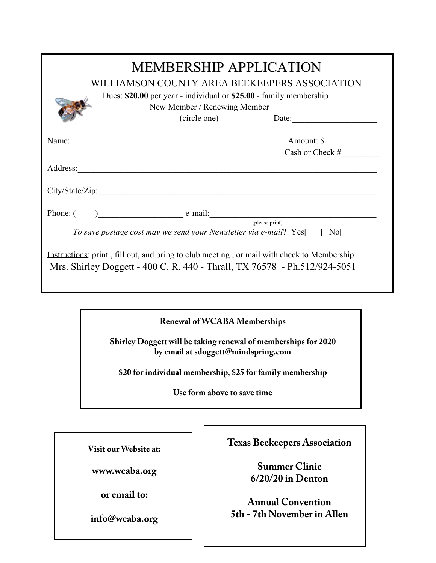| <b>MEMBERSHIP APPLICATION</b><br>WILLIAMSON COUNTY AREA BEEKEEPERS ASSOCIATION<br>Dues: \$20.00 per year - individual or \$25.00 - family membership<br>New Member / Renewing Member |                                                                                                                                                                         |                   |  |
|--------------------------------------------------------------------------------------------------------------------------------------------------------------------------------------|-------------------------------------------------------------------------------------------------------------------------------------------------------------------------|-------------------|--|
|                                                                                                                                                                                      | (circle one)                                                                                                                                                            | Date:             |  |
|                                                                                                                                                                                      | Name:                                                                                                                                                                   | Amount: \$        |  |
|                                                                                                                                                                                      |                                                                                                                                                                         | Cash or Check $#$ |  |
|                                                                                                                                                                                      |                                                                                                                                                                         |                   |  |
|                                                                                                                                                                                      |                                                                                                                                                                         |                   |  |
| Phone: (                                                                                                                                                                             | $e$ -mail:                                                                                                                                                              |                   |  |
|                                                                                                                                                                                      | To save postage cost may we send your Newsletter via e-mail? Yes[] No[]                                                                                                 | (please print)    |  |
|                                                                                                                                                                                      | Instructions: print, fill out, and bring to club meeting, or mail with check to Membership<br>Mrs. Shirley Doggett - 400 C. R. 440 - Thrall, TX 76578 - Ph.512/924-5051 |                   |  |

# **Namewal of WCABA Memberships**

**W.C.A.B.A. Club 5-Frame Nuc & Queen Order Form - 2020**

**Address Shirley Doggett will be taking renewal of memberships for 2020 by email at sdoggett@mindspring.com**

**Phone\_\_\_\_\_\_\_\_\_\_\_\_\_\_\_\_\_\_\_\_\_\_\_\_\_\_\_**e**\_**-m**\_** ail:\_\_\_\_\_\_\_\_\_\_\_\_\_\_\_\_\_\_\_\_\_\_\_\_\_\_\_\_\_ **I want to order:** *Are you a current member? [ ] Yes!* please print **\$20 for individual membership, \$25 for family membership**

**Solution 15 Nuclear 150.000 nuclear order of 100 nuclear 100 nuclear 100 nuclear 100 nuclear 100 nuclear 100 nuclear 100 nuclear 100 nuclear 100 nuclear 100 nuclear 100 nuclear 100 nuclear 100 nuclear 100 nuclear 100 nucl** 

*Nuc with three frames brood, mated queen, "NOT" marked or clipped.*

No.\_\_\_\_\_ **Honey Bee Queen** (Based on group order of 100) **\$35.00/ Queen**

*All secondary transactions and scheduling must come through the club for tracking & delivery.*

How will you pay? CASH or Check # \_\_\_\_\_\_\_\_ **TOTAL \$ AMT Visit our Website at:**

**www.wcaba.org**

 $\text{into@wcaba.org}$  | |  $\text{on}'\text{th?where linear}$ 

Special Instructions:

*BeeWeaver marked & clipped Queen from mite tolerant and virus resistant stock.* **Texas Beekeepers Association**

**Mail remittance to: Check Preferred Association**<br> **Comparison**<br> **Comparison**<br> **Comparison**<br> **Comparison**<br> **Comparison**<br> **Comparison**<br> **Comparison**<br> **Comparison**<br> **Comparison Summer Clinic**

**or email to:**<br> **order**<br> **order**<br> *order/**Annual Convention Nuc order deadline: Must be postmarked by February 28, 2018, or while supplies last..* **Annual Convention 5th - 7th November in Allen**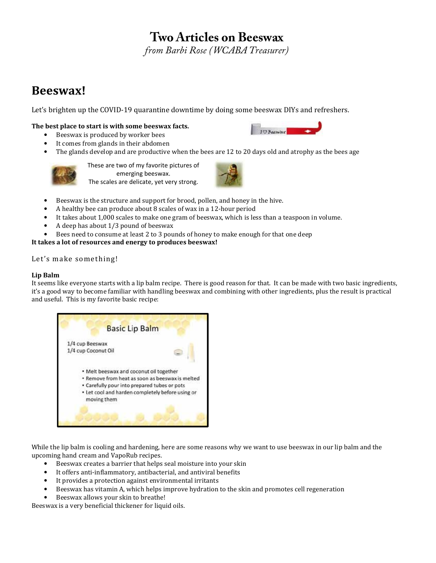### **Two Articles on Beeswax**

*from Barbi Rose (WCABA Treasurer)*

### Beeswax!

Let's brighten up the COVID-19 quarantine downtime by doing some beeswax DIYs and refreshers.

#### The best place to start is with some beeswax facts.

- Beeswax is produced by worker bees
- It comes from glands in their abdomen
- The glands develop and are productive when the bees are 12 to 20 days old and atrophy as the bees age



These are two of my favorite pictures of emerging beeswax. The scales are delicate, yet very strong.



**IO Beenvar** 

- Beeswax is the structure and support for brood, pollen, and honey in the hive.
- A healthy bee can produce about 8 scales of wax in a 12-hour period
- It takes about 1,000 scales to make one gram of beeswax, which is less than a teaspoon in volume.
- A deep has about 1/3 pound of beeswax
- Bees need to consume at least 2 to 3 pounds of honey to make enough for that one deep

#### It takes a lot of resources and energy to produces beeswax!

#### Let's make something!

#### Lip Balm

It seems like everyone starts with a lip balm recipe. There is good reason for that. It can be made with two basic ingredients, it's a good way to become familiar with handling beeswax and combining with other ingredients, plus the result is practical and useful. This is my favorite basic recipe:



While the lip balm is cooling and hardening, here are some reasons why we want to use beeswax in our lip balm and the upcoming hand cream and VapoRub recipes.<br>• Beesway creates a barrier that helps

- Beeswax creates a barrier that helps seal moisture into your skin
- It offers anti-inflammatory, antibacterial, and antiviral benefits
- It provides a protection against environmental irritants
- Beeswax has vitamin A, which helps improve hydration to the skin and promotes cell regeneration
- Beeswax allows your skin to breathe!

Beeswax is a very beneficial thickener for liquid oils.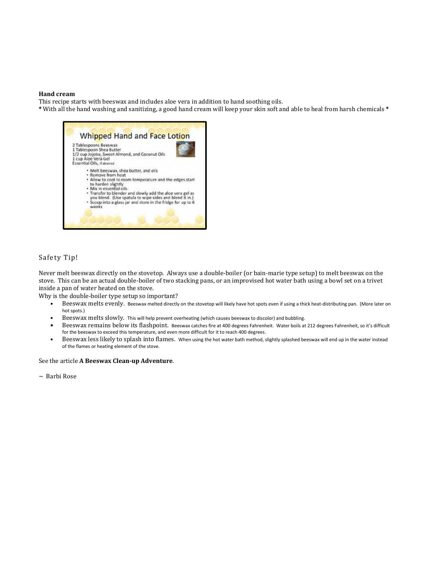#### Hand cream

This recipe starts with beeswax and includes aloe vera in addition to hand soothing oils.

\* With all the hand washing and sanitizing, a good hand cream will keep your skin soft and able to heal from harsh chemicals \*



#### Safety Tip!

Never melt beeswax directly on the stovetop. Always use a double-boiler (or bain-marie type setup) to melt beeswax on the stove. This can be an actual double-boiler of two stacking pans, or an improvised hot water bath using a bowl set on a trivet inside a pan of water heated on the stove.

Why is the double-boiler type setup so important?

- Beeswax melts evenly. Beeswax melted directly on the stovetop will likely have hot spots even if using a thick heat-distributing pan. (More later on hot spots.)
- Beeswax melts slowly. This will help prevent overheating (which causes beeswax to discolor) and bubbling.
- Beeswax remains below its flashpoint. Beeswax catches fire at 400 degrees Fahrenheit. Water boils at 212 degrees Fahrenheit, so it's difficult for the beeswax to exceed this temperature, and even more difficult for it to reach 400 degrees.
- Beeswax less likely to splash into flames. When using the hot water bath method, slightly splashed beeswax will end up in the water instead of the flames or heating element of the stove.

#### See the article A Beeswax Clean-up Adventure.

 $\sim$  Barbi Rose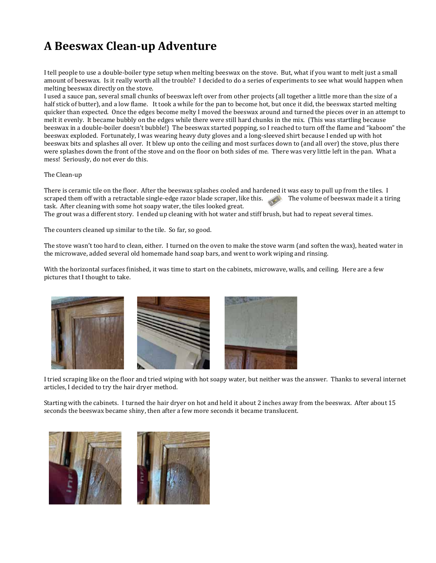### A Beeswax Clean-up Adventure

I tell people to use a double-boiler type setup when melting beeswax on the stove. But, what if you want to melt just a small amount of beeswax. Is it really worth all the trouble? I decided to do a series of experiments to see what would happen when melting beeswax directly on the stove.

I used a sauce pan, several small chunks of beeswax left over from other projects (all together a little more than the size of a half stick of butter), and a low flame. It took a while for the pan to become hot, but once it did, the beeswax started melting quicker than expected. Once the edges become melty I moved the beeswax around and turned the pieces over in an attempt to melt it evenly. It became bubbly on the edges while there were still hard chunks in the mix. (This was startling because beeswax in a double-boiler doesn't bubble!) The beeswax started popping, so I reached to turn off the flame and "kaboom" the beeswax exploded. Fortunately, I was wearing heavy duty gloves and a long-sleeved shirt because I ended up with hot beeswax bits and splashes all over. It blew up onto the ceiling and most surfaces down to (and all over) the stove, plus there were splashes down the front of the stove and on the floor on both sides of me. There was very little left in the pan. What a mess! Seriously, do not ever do this.

#### The Clean-up

There is ceramic tile on the floor. After the beeswax splashes cooled and hardened it was easy to pull up from the tiles. I<br>scraped them off with a retractable single-edge razor blade scraper, like this. The volume of bees scraped them off with a retractable single-edge razor blade scraper, like this. task. After cleaning with some hot soapy water, the tiles looked great.

The grout was a different story. I ended up cleaning with hot water and stiff brush, but had to repeat several times.

The counters cleaned up similar to the tile. So far, so good.

The stove wasn't too hard to clean, either. I turned on the oven to make the stove warm (and soften the wax), heated water in the microwave, added several old homemade hand soap bars, and went to work wiping and rinsing.

With the horizontal surfaces finished, it was time to start on the cabinets, microwave, walls, and ceiling. Here are a few pictures that I thought to take.



I tried scraping like on the floor and tried wiping with hot soapy water, but neither was the answer. Thanks to several internet articles, I decided to try the hair dryer method.

Starting with the cabinets. I turned the hair dryer on hot and held it about 2 inches away from the beeswax. After about 15 seconds the beeswax became shiny, then after a few more seconds it became translucent.

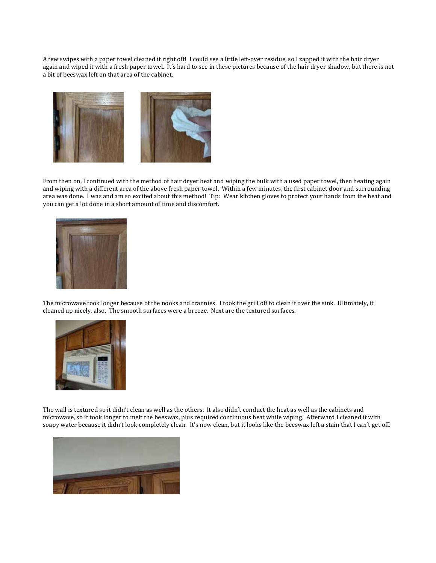A few swipes with a paper towel cleaned it right off! I could see a little left-over residue, so I zapped it with the hair dryer again and wiped it with a fresh paper towel. It's hard to see in these pictures because of the hair dryer shadow, but there is not a bit of beeswax left on that area of the cabinet.



From then on, I continued with the method of hair dryer heat and wiping the bulk with a used paper towel, then heating again and wiping with a different area of the above fresh paper towel. Within a few minutes, the first cabinet door and surrounding area was done. I was and am so excited about this method! Tip: Wear kitchen gloves to protect your hands from the heat and you can get a lot done in a short amount of time and discomfort.



The microwave took longer because of the nooks and crannies. I took the grill off to clean it over the sink. Ultimately, it cleaned up nicely, also. The smooth surfaces were a breeze. Next are the textured surfaces.



The wall is textured so it didn't clean as well as the others. It also didn't conduct the heat as well as the cabinets and microwave, so it took longer to melt the beeswax, plus required continuous heat while wiping. Afterward I cleaned it with soapy water because it didn't look completely clean. It's now clean, but it looks like the beeswax left a stain that I can't get off.